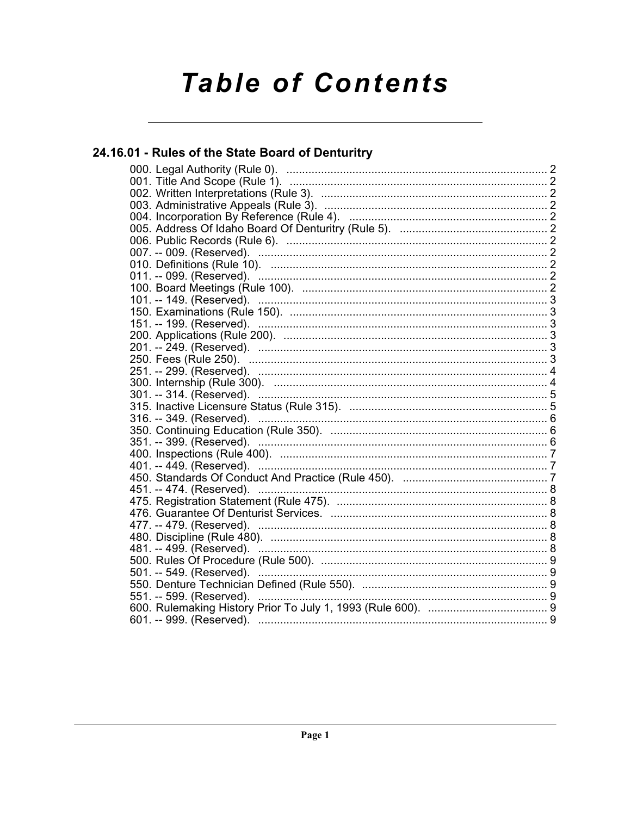# **Table of Contents**

# 24.16.01 - Rules of the State Board of Denturitry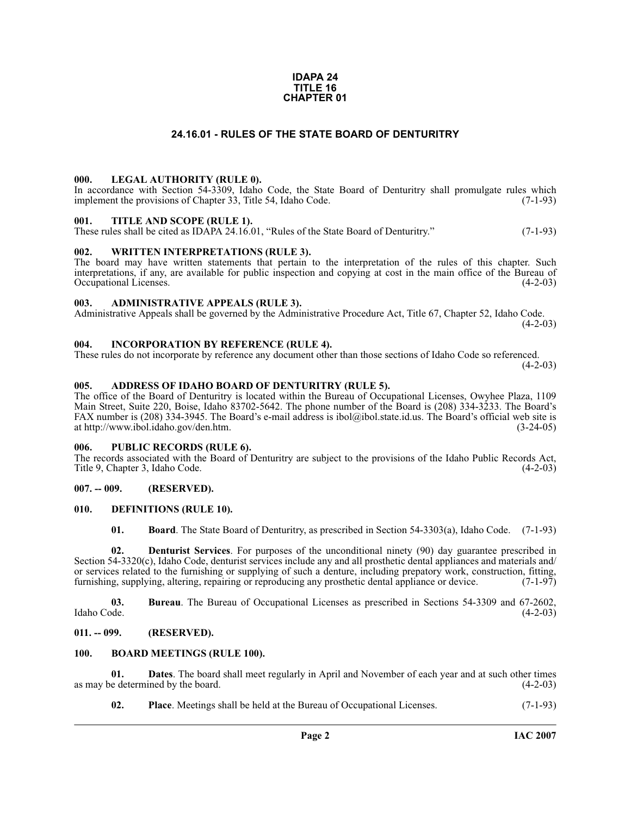#### **IDAPA 24 TITLE 16 CHAPTER 01**

#### **24.16.01 - RULES OF THE STATE BOARD OF DENTURITRY**

#### <span id="page-1-1"></span><span id="page-1-0"></span>**000. LEGAL AUTHORITY (RULE 0).**

In accordance with Section 54-3309, Idaho Code, the State Board of Denturitry shall promulgate rules which implement the provisions of Chapter 33, Title 54, Idaho Code. (7-1-93)

#### <span id="page-1-2"></span>**001. TITLE AND SCOPE (RULE 1).**

These rules shall be cited as IDAPA 24.16.01, "Rules of the State Board of Denturitry." (7-1-93)

#### <span id="page-1-3"></span>**002. WRITTEN INTERPRETATIONS (RULE 3).**

The board may have written statements that pertain to the interpretation of the rules of this chapter. Such interpretations, if any, are available for public inspection and copying at cost in the main office of the Bureau of Occupational Licenses. (4-2-03) Occupational Licenses.

#### <span id="page-1-4"></span>**003. ADMINISTRATIVE APPEALS (RULE 3).**

Administrative Appeals shall be governed by the Administrative Procedure Act, Title 67, Chapter 52, Idaho Code.  $(4-2-03)$ 

#### <span id="page-1-5"></span>**004. INCORPORATION BY REFERENCE (RULE 4).**

These rules do not incorporate by reference any document other than those sections of Idaho Code so referenced.  $(4-2-03)$ 

#### <span id="page-1-6"></span>**005. ADDRESS OF IDAHO BOARD OF DENTURITRY (RULE 5).**

[The office of the Board of Denturitry is located within the Bureau of Occupational Licenses, Owyhee Plaza, 1109](mailto:ibol@ibol.idaho.gov)  Main Street, Suite 220, Boise, Idaho 83702-5642. The phone number of the Board is (208) 334-3233. The Board's FAX number is (208) 334-3945. The Board's e-mail address is ibol@ibol.state.id.us. The Board's official web site is [at](mailto:ibol@ibol.idaho.gov) [http://www.ibol.idaho.gov/den.htm. \(3-24-05\)](http://www.ibol.idaho.gov/den.htm)

#### <span id="page-1-7"></span>**006. PUBLIC RECORDS (RULE 6).**

The records associated with the Board of Denturitry are subject to the provisions of the Idaho Public Records Act,<br>Title 9. Chapter 3. Idaho Code. (4-2-03) Title 9, Chapter 3, Idaho Code.

#### <span id="page-1-8"></span>**007. -- 009. (RESERVED).**

#### <span id="page-1-9"></span>**010. DEFINITIONS (RULE 10).**

<span id="page-1-15"></span><span id="page-1-14"></span><span id="page-1-12"></span>**01. Board**. The State Board of Denturitry, as prescribed in Section 54-3303(a), Idaho Code. (7-1-93)

**02. Denturist Services**. For purposes of the unconditional ninety (90) day guarantee prescribed in Section 54-3320(c), Idaho Code, denturist services include any and all prosthetic dental appliances and materials and/ or services related to the furnishing or supplying of such a denture, including prepatory work, construction, fitting, furnishing, supplying, altering, repairing or reproducing any prosthetic dental appliance or device. (7-1-97)

**03.** Bureau. The Bureau of Occupational Licenses as prescribed in Sections 54-3309 and 67-2602, Idaho Code. (4-2-03) Idaho Code. (4-2-03)

#### <span id="page-1-10"></span>**011. -- 099. (RESERVED).**

#### <span id="page-1-13"></span><span id="page-1-11"></span>**100. BOARD MEETINGS (RULE 100).**

**01. Dates**. The board shall meet regularly in April and November of each year and at such other times as may be determined by the board.

**02. Place**. Meetings shall be held at the Bureau of Occupational Licenses. (7-1-93)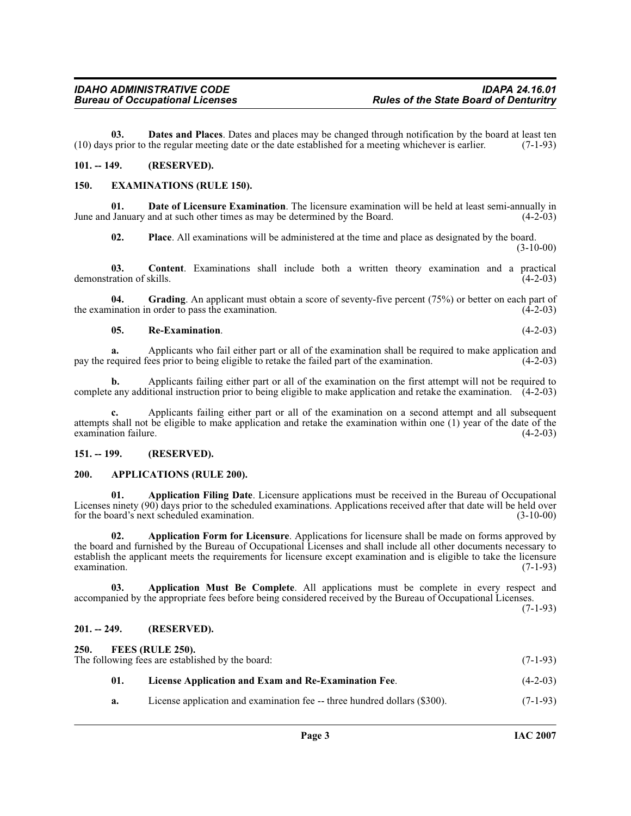**03. Dates and Places**. Dates and places may be changed through notification by the board at least ten (10) days prior to the regular meeting date or the date established for a meeting whichever is earlier. (7-1-93)

#### <span id="page-2-0"></span>**101. -- 149. (RESERVED).**

#### <span id="page-2-9"></span><span id="page-2-1"></span>**150. EXAMINATIONS (RULE 150).**

**01. Date of Licensure Examination**. The licensure examination will be held at least semi-annually in June and January and at such other times as may be determined by the Board. (4-2-03)

**02. Place**. All examinations will be administered at the time and place as designated by the board. (3-10-00)

**03. Content**. Examinations shall include both a written theory examination and a practical ration of skills. (4-2-03) demonstration of skills.

**04. Grading**. An applicant must obtain a score of seventy-five percent (75%) or better on each part of the examination in order to pass the examination. (4-2-03)

#### **05. Re-Examination**. (4-2-03)

**a.** Applicants who fail either part or all of the examination shall be required to make application and equired fees prior to being eligible to retake the failed part of the examination. (4-2-03) pay the required fees prior to being eligible to retake the failed part of the examination.

**b.** Applicants failing either part or all of the examination on the first attempt will not be required to complete any additional instruction prior to being eligible to make application and retake the examination. (4-2-03)

**c.** Applicants failing either part or all of the examination on a second attempt and all subsequent attempts shall not be eligible to make application and retake the examination within one (1) year of the date of the examination failure.

#### <span id="page-2-2"></span>**151. -- 199. (RESERVED).**

#### <span id="page-2-8"></span><span id="page-2-3"></span>**200. APPLICATIONS (RULE 200).**

<span id="page-2-6"></span>**01. Application Filing Date**. Licensure applications must be received in the Bureau of Occupational Licenses ninety (90) days prior to the scheduled examinations. Applications received after that date will be held over for the board's next scheduled examination. (3-10-00)

<span id="page-2-7"></span>**02. Application Form for Licensure**. Applications for licensure shall be made on forms approved by the board and furnished by the Bureau of Occupational Licenses and shall include all other documents necessary to establish the applicant meets the requirements for licensure except examination and is eligible to take the licensure examination. (7-1-93) examination.  $(7-1-93)$ 

**03. Application Must Be Complete**. All applications must be complete in every respect and accompanied by the appropriate fees before being considered received by the Bureau of Occupational Licenses.

(7-1-93)

#### <span id="page-2-4"></span>**201. -- 249. (RESERVED).**

<span id="page-2-5"></span>**250.**<br>The

<span id="page-2-11"></span><span id="page-2-10"></span>

| 250.<br>FEES (RULE 250).<br>The following fees are established by the board: |     |                                                                          | $(7-1-93)$ |
|------------------------------------------------------------------------------|-----|--------------------------------------------------------------------------|------------|
|                                                                              | 01. | License Application and Exam and Re-Examination Fee.                     | $(4-2-03)$ |
|                                                                              | а.  | License application and examination fee – three hundred dollars (\$300). | $(7-1-93)$ |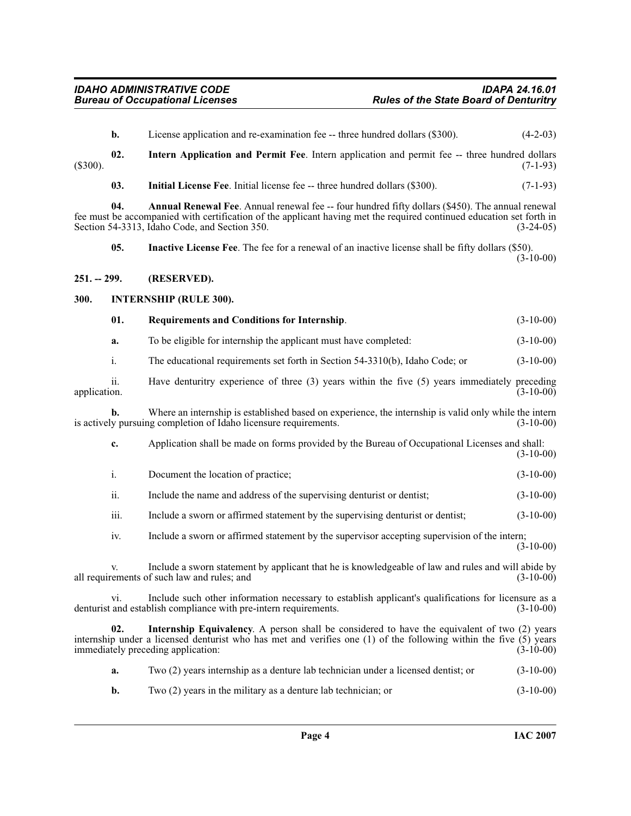<span id="page-3-8"></span><span id="page-3-6"></span><span id="page-3-5"></span><span id="page-3-4"></span><span id="page-3-3"></span><span id="page-3-2"></span><span id="page-3-1"></span><span id="page-3-0"></span>

|              | b.   | License application and re-examination fee -- three hundred dollars (\$300).                                                                                                                                                                                              | $(4-2-03)$  |
|--------------|------|---------------------------------------------------------------------------------------------------------------------------------------------------------------------------------------------------------------------------------------------------------------------------|-------------|
| $(\$300).$   | 02.  | Intern Application and Permit Fee. Intern application and permit fee -- three hundred dollars                                                                                                                                                                             | $(7-1-93)$  |
|              | 03.  | Initial License Fee. Initial license fee -- three hundred dollars (\$300).                                                                                                                                                                                                | $(7-1-93)$  |
|              | 04.  | Annual Renewal Fee. Annual renewal fee -- four hundred fifty dollars (\$450). The annual renewal<br>fee must be accompanied with certification of the applicant having met the required continued education set forth in<br>Section 54-3313, Idaho Code, and Section 350. | $(3-24-05)$ |
|              | 05.  | <b>Inactive License Fee.</b> The fee for a renewal of an inactive license shall be fifty dollars (\$50).                                                                                                                                                                  | $(3-10-00)$ |
| 251. -- 299. |      | (RESERVED).                                                                                                                                                                                                                                                               |             |
| 300.         |      | <b>INTERNSHIP (RULE 300).</b>                                                                                                                                                                                                                                             |             |
|              | 01.  | Requirements and Conditions for Internship.                                                                                                                                                                                                                               | $(3-10-00)$ |
|              | a.   | To be eligible for internship the applicant must have completed:                                                                                                                                                                                                          | $(3-10-00)$ |
|              | i.   | The educational requirements set forth in Section 54-3310(b), Idaho Code; or                                                                                                                                                                                              | $(3-10-00)$ |
| application. | 11.  | Have denturitry experience of three $(3)$ years within the five $(5)$ years immediately preceding                                                                                                                                                                         | $(3-10-00)$ |
|              | b.   | Where an internship is established based on experience, the internship is valid only while the intern<br>is actively pursuing completion of Idaho licensure requirements.                                                                                                 | $(3-10-00)$ |
|              | c.   | Application shall be made on forms provided by the Bureau of Occupational Licenses and shall:                                                                                                                                                                             | $(3-10-00)$ |
|              | i.   | Document the location of practice;                                                                                                                                                                                                                                        | $(3-10-00)$ |
|              | ii.  | Include the name and address of the supervising denturist or dentist;                                                                                                                                                                                                     | $(3-10-00)$ |
|              | iii. | Include a sworn or affirmed statement by the supervising denturist or dentist;                                                                                                                                                                                            | $(3-10-00)$ |
|              | iv.  | Include a sworn or affirmed statement by the supervisor accepting supervision of the intern;                                                                                                                                                                              | $(3-10-00)$ |
|              | v.   | Include a sworn statement by applicant that he is knowledgeable of law and rules and will abide by<br>all requirements of such law and rules; and                                                                                                                         | $(3-10-00)$ |
|              | VI.  | Include such other information necessary to establish applicant's qualifications for licensure as a<br>denturist and establish compliance with pre-intern requirements.                                                                                                   | $(3-10-00)$ |
|              | 02.  | <b>Internship Equivalency.</b> A person shall be considered to have the equivalent of two (2) years<br>internship under a licensed denturist who has met and verifies one $(1)$ of the following within the five $(5)$ years<br>immediately preceding application:        | $(3-10-00)$ |
|              | a.   | Two (2) years internship as a denture lab technician under a licensed dentist; or                                                                                                                                                                                         | $(3-10-00)$ |
|              |      |                                                                                                                                                                                                                                                                           |             |

<span id="page-3-7"></span>**b.** Two (2) years in the military as a denture lab technician; or (3-10-00)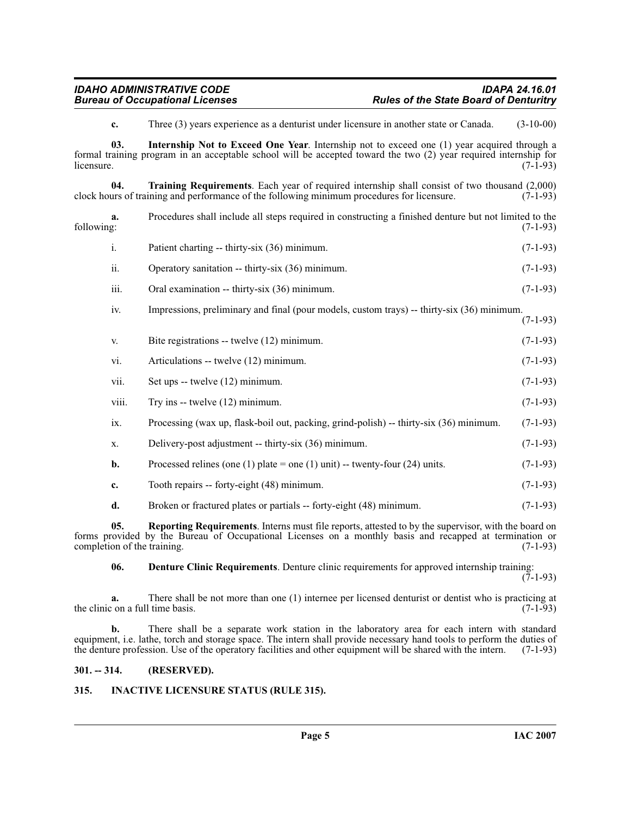<span id="page-4-6"></span><span id="page-4-4"></span>**c.** Three (3) years experience as a denturist under licensure in another state or Canada. (3-10-00)

**03. Internship Not to Exceed One Year**. Internship not to exceed one (1) year acquired through a formal training program in an acceptable school will be accepted toward the two (2) year required internship for  $l$ icensure.  $(7-1-93)$ 

**04. Training Requirements**. Each year of required internship shall consist of two thousand (2,000) clock hours of training and performance of the following minimum procedures for licensure.

**a.** Procedures shall include all steps required in constructing a finished denture but not limited to the following: (7-1-93) following: (7-1-93)

|      | Patient charting -- thirty-six (36) minimum.     | $(7-1-93)$ |
|------|--------------------------------------------------|------------|
| 11.  | Operatory sanitation -- thirty-six (36) minimum. | $(7-1-93)$ |
| iii. | Oral examination -- thirty-six (36) minimum.     | $(7-1-93)$ |

iv. Impressions, preliminary and final (pour models, custom trays) -- thirty-six (36) minimum. (7-1-93)

| V.    | Bite registrations -- twelve (12) minimum.                                             | $(7-1-93)$ |
|-------|----------------------------------------------------------------------------------------|------------|
| vi.   | Articulations -- twelve (12) minimum.                                                  | $(7-1-93)$ |
| vii.  | Set ups $-$ twelve $(12)$ minimum.                                                     | $(7-1-93)$ |
| viii. | Try ins -- twelve $(12)$ minimum.                                                      | $(7-1-93)$ |
| ix.   | Processing (wax up, flask-boil out, packing, grind-polish) -- thirty-six (36) minimum. | $(7-1-93)$ |
| Х.    | Delivery-post adjustment -- thirty-six (36) minimum.                                   | $(7-1-93)$ |
| b.    | Processed relines (one (1) plate = one (1) unit) -- twenty-four (24) units.            | $(7-1-93)$ |
| c.    | Tooth repairs -- forty-eight (48) minimum.                                             | $(7-1-93)$ |
| d.    | Broken or fractured plates or partials -- forty-eight (48) minimum.                    | $(7-1-93)$ |

**05. Reporting Requirements**. Interns must file reports, attested to by the supervisor, with the board on forms provided by the Bureau of Occupational Licenses on a monthly basis and recapped at termination or completion of the training. (7-1-93) completion of the training.

<span id="page-4-5"></span><span id="page-4-2"></span>**06. Denture Clinic Requirements**. Denture clinic requirements for approved internship training:

 $(7-1-93)$ 

**a.** There shall be not more than one (1) internee per licensed denturist or dentist who is practicing at  $\text{c}$  on a full time basis. (7-1-93) the clinic on a full time basis.

**b.** There shall be a separate work station in the laboratory area for each intern with standard equipment, i.e. lathe, torch and storage space. The intern shall provide necessary hand tools to perform the duties of the denture profession. Use of the operatory facilities and other equipment will be shared with the intern. (7-1-93)

### <span id="page-4-0"></span>**301. -- 314. (RESERVED).**

# <span id="page-4-3"></span><span id="page-4-1"></span>**315. INACTIVE LICENSURE STATUS (RULE 315).**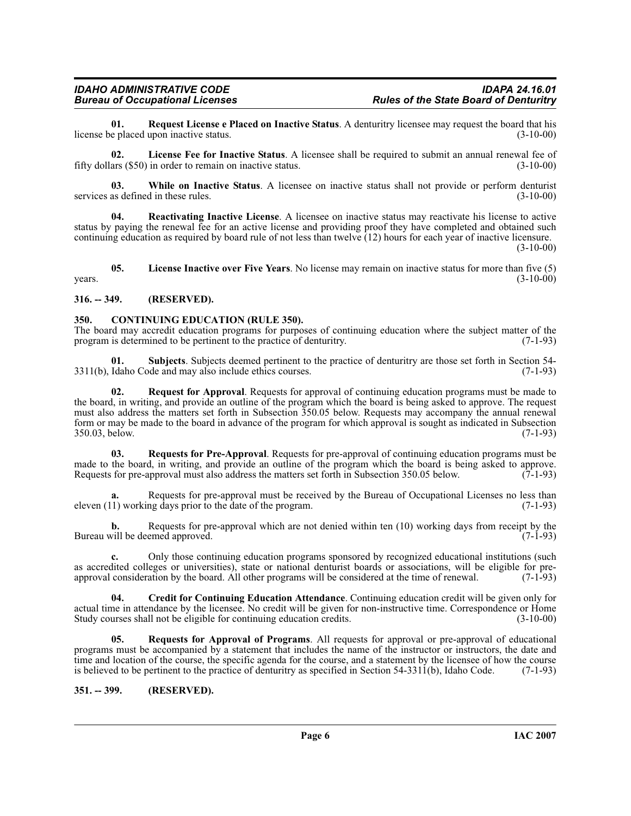<span id="page-5-8"></span>**01. Request License e Placed on Inactive Status**. A denturitry licensee may request the board that his license be placed upon inactive status.

<span id="page-5-5"></span>**02.** License Fee for Inactive Status. A licensee shall be required to submit an annual renewal fee of ars (\$50) in order to remain on inactive status. (3-10-00) fifty dollars  $(\$50)$  in order to remain on inactive status.

<span id="page-5-12"></span>**03.** While on Inactive Status. A licensee on inactive status shall not provide or perform denturist as defined in these rules. (3-10-00) services as defined in these rules.

<span id="page-5-7"></span>**04. Reactivating Inactive License**. A licensee on inactive status may reactivate his license to active status by paying the renewal fee for an active license and providing proof they have completed and obtained such continuing education as required by board rule of not less than twelve (12) hours for each year of inactive licensure.

(3-10-00)

<span id="page-5-6"></span>**05. License Inactive over Five Years**. No license may remain on inactive status for more than five (5)  $years.$  (3-10-00)

# <span id="page-5-0"></span>**316. -- 349. (RESERVED).**

### <span id="page-5-3"></span><span id="page-5-1"></span>**350. CONTINUING EDUCATION (RULE 350).**

The board may accredit education programs for purposes of continuing education where the subject matter of the program is determined to be pertinent to the practice of denturity. (7-1-93) program is determined to be pertinent to the practice of denturitry.

**01. Subjects**. Subjects deemed pertinent to the practice of denturitry are those set forth in Section 54- 3311(b), Idaho Code and may also include ethics courses. (7-1-93)

<span id="page-5-9"></span>**02. Request for Approval**. Requests for approval of continuing education programs must be made to the board, in writing, and provide an outline of the program which the board is being asked to approve. The request must also address the matters set forth in Subsection 350.05 below. Requests may accompany the annual renewal form or may be made to the board in advance of the program for which approval is sought as indicated in Subsection 350.03, below. (7-1-93)

<span id="page-5-11"></span>**03. Requests for Pre-Approval**. Requests for pre-approval of continuing education programs must be made to the board, in writing, and provide an outline of the program which the board is being asked to approve.<br>Requests for pre-approval must also address the matters set forth in Subsection 350.05 below. (7-1-93) Requests for pre-approval must also address the matters set forth in Subsection 350.05 below.

Requests for pre-approval must be received by the Bureau of Occupational Licenses no less than ng days prior to the date of the program. (7-1-93) eleven  $(11)$  working days prior to the date of the program.

**b.** Requests for pre-approval which are not denied within ten  $(10)$  working days from receipt by the vill be deemed approved.  $(7-1-93)$ Bureau will be deemed approved.

**c.** Only those continuing education programs sponsored by recognized educational institutions (such as accredited colleges or universities), state or national denturist boards or associations, will be eligible for pre-<br>approval consideration by the board. All other programs will be considered at the time of renewal. (7-1 approval consideration by the board. All other programs will be considered at the time of renewal.

<span id="page-5-4"></span>**04. Credit for Continuing Education Attendance**. Continuing education credit will be given only for actual time in attendance by the licensee. No credit will be given for non-instructive time. Correspondence or Home Study courses shall not be eligible for continuing education credits. (3-10-00)

<span id="page-5-10"></span>**05. Requests for Approval of Programs**. All requests for approval or pre-approval of educational programs must be accompanied by a statement that includes the name of the instructor or instructors, the date and time and location of the course, the specific agenda for the course, and a statement by the licensee of how the course is believed to be pertinent to the practice of denturitry as specified in Section  $54-3311(b)$ , Idaho Code. (7-1-93)

<span id="page-5-2"></span>**351. -- 399. (RESERVED).**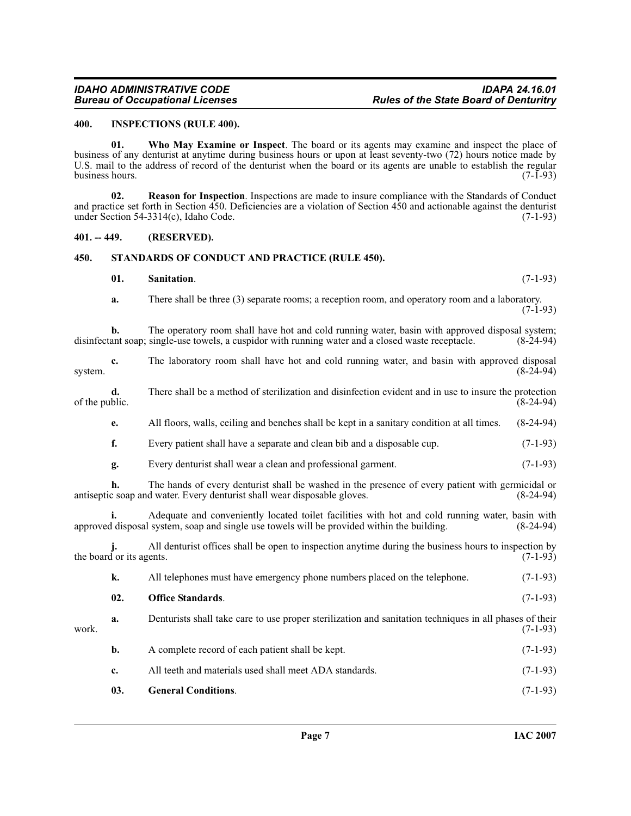#### <span id="page-6-3"></span><span id="page-6-0"></span>**400. INSPECTIONS (RULE 400).**

<span id="page-6-8"></span>**01. Who May Examine or Inspect**. The board or its agents may examine and inspect the place of business of any denturist at anytime during business hours or upon at least seventy-two (72) hours notice made by U.S. mail to the address of record of the denturist when the board or its agents are unable to establish the regular business hours. (7-1-93) business hours.

<span id="page-6-5"></span>**02. Reason for Inspection**. Inspections are made to insure compliance with the Standards of Conduct and practice set forth in Section 450. Deficiencies are a violation of Section 450 and actionable against the denturist under Section 54-3314(c), Idaho Code.  $(7-1-93)$ under Section  $54-3314(c)$ , Idaho Code.

#### <span id="page-6-1"></span>**401. -- 449. (RESERVED).**

# <span id="page-6-2"></span>**450. STANDARDS OF CONDUCT AND PRACTICE (RULE 450).**

# <span id="page-6-7"></span><span id="page-6-6"></span>**01. Sanitation**. (7-1-93)

**a.** There shall be three (3) separate rooms; a reception room, and operatory room and a laboratory. (7-1-93)

**b.** The operatory room shall have hot and cold running water, basin with approved disposal system; ant soap; single-use towels, a cuspidor with running water and a closed waste receptacle. (8-24-94) disinfectant soap; single-use towels, a cuspidor with running water and a closed waste receptacle.

<span id="page-6-4"></span>

| system.        | c.                       | The laboratory room shall have hot and cold running water, and basin with approved disposal                                                                                                   | $(8-24-94)$ |
|----------------|--------------------------|-----------------------------------------------------------------------------------------------------------------------------------------------------------------------------------------------|-------------|
| of the public. | d.                       | There shall be a method of sterilization and disinfection evident and in use to insure the protection                                                                                         | $(8-24-94)$ |
|                | e.                       | All floors, walls, ceiling and benches shall be kept in a sanitary condition at all times.                                                                                                    | $(8-24-94)$ |
|                | f.                       | Every patient shall have a separate and clean bib and a disposable cup.                                                                                                                       | $(7-1-93)$  |
|                | g.                       | Every denturist shall wear a clean and professional garment.                                                                                                                                  | $(7-1-93)$  |
|                | h.                       | The hands of every denturist shall be washed in the presence of every patient with germicidal or<br>antiseptic soap and water. Every denturist shall wear disposable gloves.                  | $(8-24-94)$ |
|                | i.                       | Adequate and conveniently located toilet facilities with hot and cold running water, basin with<br>approved disposal system, soap and single use towels will be provided within the building. | $(8-24-94)$ |
|                | the board or its agents. | All denturist offices shall be open to inspection anytime during the business hours to inspection by                                                                                          | $(7-1-93)$  |
|                | k.                       | All telephones must have emergency phone numbers placed on the telephone.                                                                                                                     | $(7-1-93)$  |
|                | 02.                      | <b>Office Standards.</b>                                                                                                                                                                      | $(7-1-93)$  |
| work.          | a.                       | Denturists shall take care to use proper sterilization and sanitation techniques in all phases of their                                                                                       | $(7-1-93)$  |
|                | b.                       | A complete record of each patient shall be kept.                                                                                                                                              | $(7-1-93)$  |
|                | c.                       | All teeth and materials used shall meet ADA standards.                                                                                                                                        | $(7-1-93)$  |
|                | 03.                      | <b>General Conditions.</b>                                                                                                                                                                    | $(7-1-93)$  |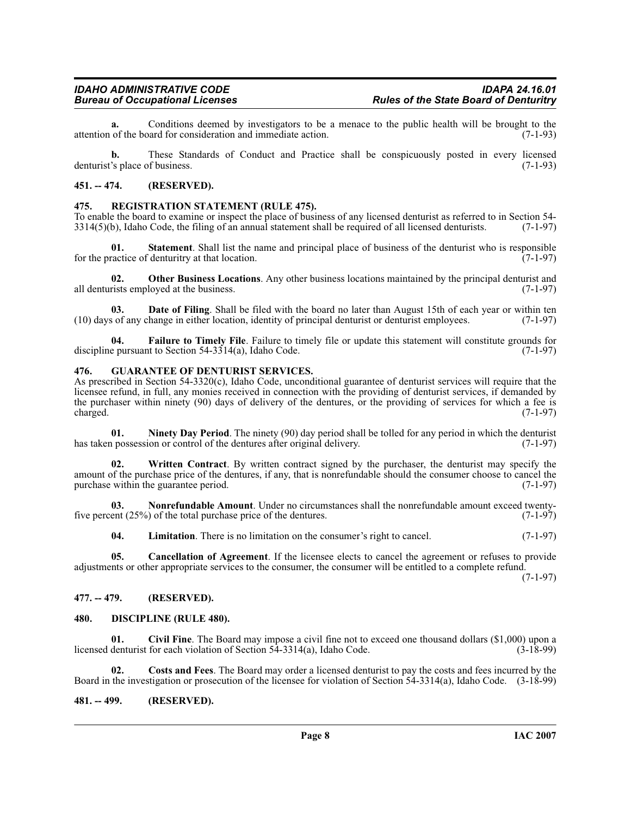**a.** Conditions deemed by investigators to be a menace to the public health will be brought to the of the board for consideration and immediate action. (7-1-93) attention of the board for consideration and immediate action.

**b.** These Standards of Conduct and Practice shall be conspicuously posted in every licensed 's place of business. (7-1-93) denturist's place of business.

#### <span id="page-7-0"></span>**451. -- 474. (RESERVED).**

#### <span id="page-7-17"></span><span id="page-7-1"></span>**475. REGISTRATION STATEMENT (RULE 475).**

To enable the board to examine or inspect the place of business of any licensed denturist as referred to in Section 54-<br>3314(5)(b), Idaho Code, the filing of an annual statement shall be required of all licensed denturists  $3314(5)$ (b), Idaho Code, the filing of an annual statement shall be required of all licensed denturists.

**01.** Statement. Shall list the name and principal place of business of the denturist who is responsible ractice of denturitry at that location. (7-1-97) for the practice of denturitry at that location.

<span id="page-7-16"></span>**02. Other Business Locations**. Any other business locations maintained by the principal denturist and rists employed at the business. (7-1-97) all denturists employed at the business.

<span id="page-7-9"></span>**Date of Filing**. Shall be filed with the board no later than August 15th of each year or within ten hange in either location, identity of principal denturist or denturist employees. (7-1-97) (10) days of any change in either location, identity of principal denturist or denturist employees. (7-1-97)

<span id="page-7-11"></span>**Failure to Timely File**. Failure to timely file or update this statement will constitute grounds for the Section 54-3314(a), Idaho Code. (7-1-97) discipline pursuant to Section  $54-3314(a)$ , Idaho Code.

#### <span id="page-7-12"></span><span id="page-7-2"></span>**476. GUARANTEE OF DENTURIST SERVICES.**

As prescribed in Section 54-3320(c), Idaho Code, unconditional guarantee of denturist services will require that the licensee refund, in full, any monies received in connection with the providing of denturist services, if demanded by the purchaser within ninety (90) days of delivery of the dentures, or the providing of services for which a fee is charged.  $(7-1-97)$  $\alpha$  charged. (7-1-97)

<span id="page-7-14"></span>**01.** Ninety Day Period. The ninety (90) day period shall be tolled for any period in which the denturist prossession or control of the dentures after original delivery. (7-1-97) has taken possession or control of the dentures after original delivery.

<span id="page-7-18"></span>**02. Written Contract**. By written contract signed by the purchaser, the denturist may specify the amount of the purchase price of the dentures, if any, that is nonrefundable should the consumer choose to cancel the purchase within the guarantee period.

**03. Nonrefundable Amount**. Under no circumstances shall the nonrefundable amount exceed twentyfive percent  $(25\%)$  of the total purchase price of the dentures.  $(7-1-97)$ 

<span id="page-7-15"></span><span id="page-7-13"></span><span id="page-7-6"></span>**04.** Limitation. There is no limitation on the consumer's right to cancel. (7-1-97)

**05. Cancellation of Agreement**. If the licensee elects to cancel the agreement or refuses to provide adjustments or other appropriate services to the consumer, the consumer will be entitled to a complete refund.

(7-1-97)

#### <span id="page-7-3"></span>**477. -- 479. (RESERVED).**

#### <span id="page-7-10"></span><span id="page-7-4"></span>**480. DISCIPLINE (RULE 480).**

<span id="page-7-7"></span>**01. Civil Fine**. The Board may impose a civil fine not to exceed one thousand dollars (\$1,000) upon a licensed denturist for each violation of Section 54-3314(a), Idaho Code. (3-18-99)

<span id="page-7-8"></span>**02. Costs and Fees**. The Board may order a licensed denturist to pay the costs and fees incurred by the Board in the investigation or prosecution of the licensee for violation of Section 54-3314(a), Idaho Code. (3-18-99)

#### <span id="page-7-5"></span>**481. -- 499. (RESERVED).**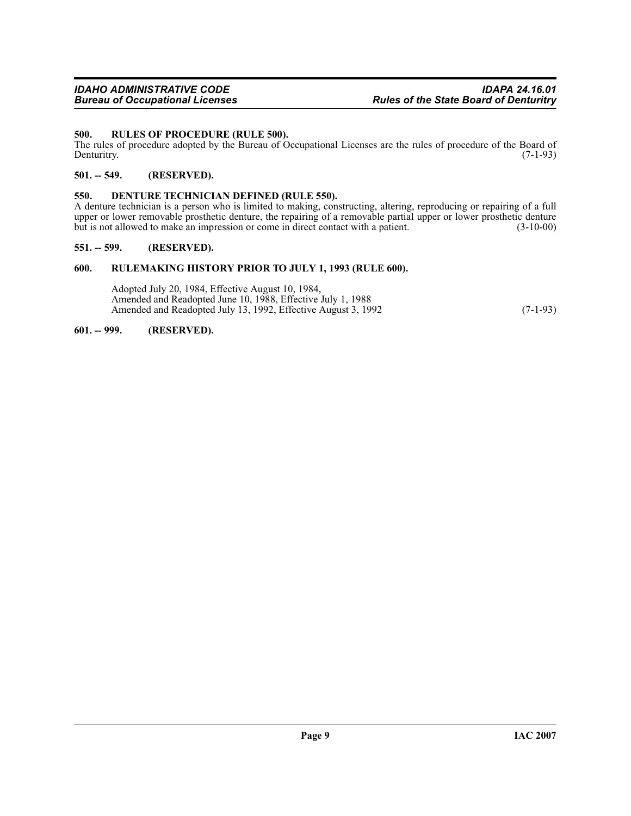#### <span id="page-8-7"></span><span id="page-8-0"></span>**500. RULES OF PROCEDURE (RULE 500).**

The rules of procedure adopted by the Bureau of Occupational Licenses are the rules of procedure of the Board of Denturity. (7-1-93) Denturitry. (7-1-93)

#### <span id="page-8-1"></span>**501. -- 549. (RESERVED).**

#### <span id="page-8-6"></span><span id="page-8-2"></span>**550. DENTURE TECHNICIAN DEFINED (RULE 550).**

A denture technician is a person who is limited to making, constructing, altering, reproducing or repairing of a full upper or lower removable prosthetic denture, the repairing of a removable partial upper or lower prosthetic denture<br>but is not allowed to make an impression or come in direct contact with a patient. (3-10-00) but is not allowed to make an impression or come in direct contact with a patient.

#### <span id="page-8-3"></span>**551. -- 599. (RESERVED).**

#### <span id="page-8-4"></span>**600. RULEMAKING HISTORY PRIOR TO JULY 1, 1993 (RULE 600).**

Adopted July 20, 1984, Effective August 10, 1984, Amended and Readopted June 10, 1988, Effective July 1, 1988 Amended and Readopted July 13, 1992, Effective August 3, 1992 (7-1-93)

#### <span id="page-8-5"></span>**601. -- 999. (RESERVED).**